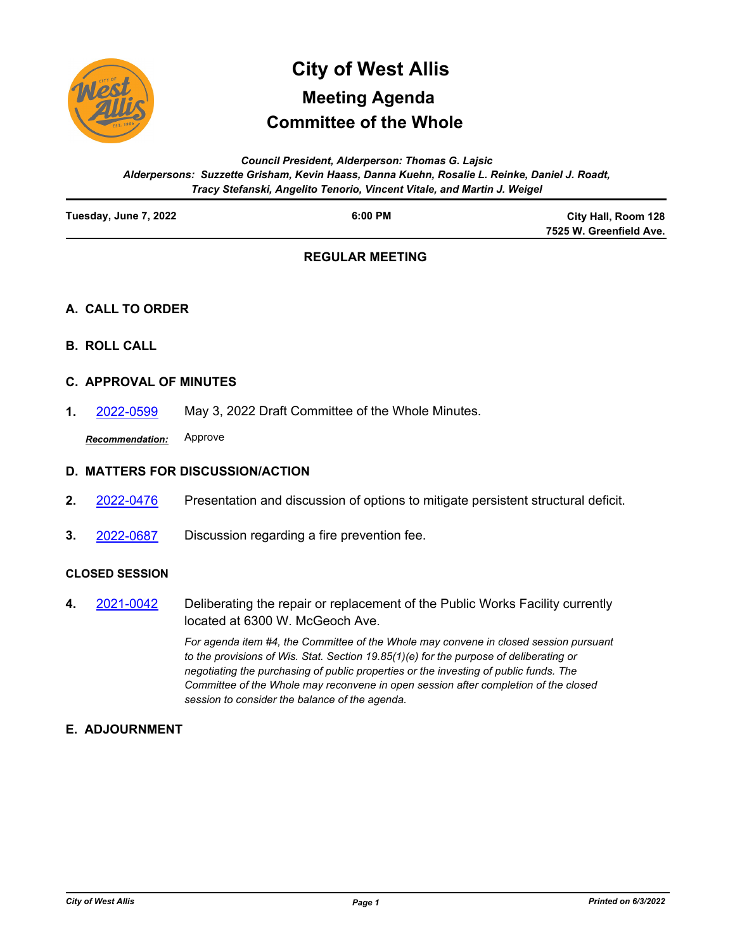

# **Committee of the Whole City of West Allis Meeting Agenda**

*Council President, Alderperson: Thomas G. Lajsic Alderpersons: Suzzette Grisham, Kevin Haass, Danna Kuehn, Rosalie L. Reinke, Daniel J. Roadt, Tracy Stefanski, Angelito Tenorio, Vincent Vitale, and Martin J. Weigel*

| Tuesday, June 7, 2022 | $6:00$ PM | City Hall, Room 128     |
|-----------------------|-----------|-------------------------|
|                       |           | 7525 W. Greenfield Ave. |
|                       |           |                         |

## **REGULAR MEETING**

### **A. CALL TO ORDER**

**B. ROLL CALL**

### **C. APPROVAL OF MINUTES**

**1.** [2022-0599](http://westalliswi.legistar.com/gateway.aspx?m=l&id=/matter.aspx?key=28833) May 3, 2022 Draft Committee of the Whole Minutes.

*Recommendation:* Approve

### **D. MATTERS FOR DISCUSSION/ACTION**

- **2.** [2022-0476](http://westalliswi.legistar.com/gateway.aspx?m=l&id=/matter.aspx?key=28670) Presentation and discussion of options to mitigate persistent structural deficit.
- **3.** [2022-0687](http://westalliswi.legistar.com/gateway.aspx?m=l&id=/matter.aspx?key=28943) Discussion regarding a fire prevention fee.

#### **CLOSED SESSION**

Deliberating the repair or replacement of the Public Works Facility currently located at 6300 W. McGeoch Ave. **4.** [2021-0042](http://westalliswi.legistar.com/gateway.aspx?m=l&id=/matter.aspx?key=25491)

> *For agenda item #4, the Committee of the Whole may convene in closed session pursuant to the provisions of Wis. Stat. Section 19.85(1)(e) for the purpose of deliberating or negotiating the purchasing of public properties or the investing of public funds. The Committee of the Whole may reconvene in open session after completion of the closed session to consider the balance of the agenda.*

### **E. ADJOURNMENT**